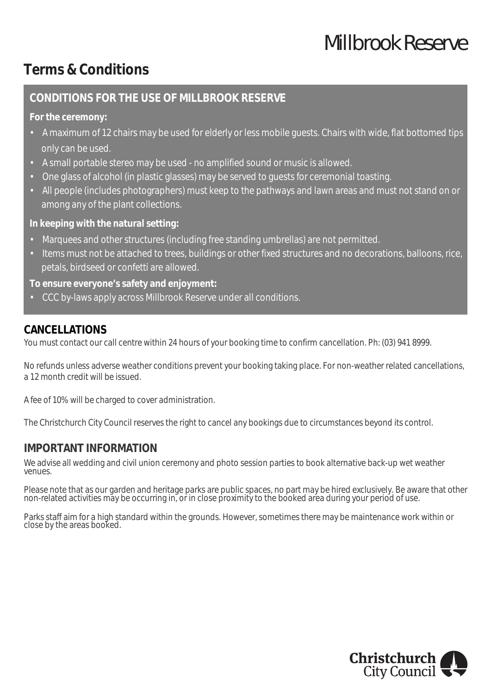# *Millbrook Reserve*

## **Terms & Conditions**

#### **CONDITIONS FOR THE USE OF MILLBROOK RESERVE**

**For the ceremony:**

- A maximum of 12 chairs may be used for elderly or less mobile guests. Chairs with wide, flat bottomed tips only can be used.
- A small portable stereo may be used no amplified sound or music is allowed.
- One glass of alcohol (in plastic glasses) may be served to guests for ceremonial toasting.
- All people (includes photographers) must keep to the pathways and lawn areas and must not stand on or among any of the plant collections.

**In keeping with the natural setting:**

- Marquees and other structures (including free standing umbrellas) are not permitted.
- Items must not be attached to trees, buildings or other fixed structures and no decorations, balloons, rice, petals, birdseed or confetti are allowed.

**To ensure everyone's safety and enjoyment:**

• CCC by-laws apply across Millbrook Reserve under all conditions.

### **CANCELLATIONS**

You must contact our call centre within 24 hours of your booking time to confirm cancellation. Ph: (03) 941 8999.

No refunds unless adverse weather conditions prevent your booking taking place. For non-weather related cancellations, a 12 month credit will be issued.

A fee of 10% will be charged to cover administration.

The Christchurch City Council reserves the right to cancel any bookings due to circumstances beyond its control.

#### **IMPORTANT INFORMATION**

We advise all wedding and civil union ceremony and photo session parties to book alternative back-up wet weather venues.

Please note that as our garden and heritage parks are public spaces, no part may be hired exclusively. Be aware that other non-related activities may be occurring in, or in close proximity to the booked area during your period of use.

Parks staff aim for a high standard within the grounds. However, sometimes there may be maintenance work within or close by the areas booked.